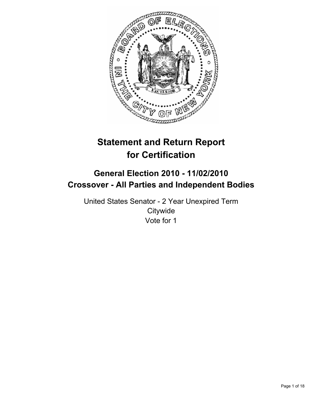

# **Statement and Return Report for Certification**

## **General Election 2010 - 11/02/2010 Crossover - All Parties and Independent Bodies**

United States Senator - 2 Year Unexpired Term **Citywide** Vote for 1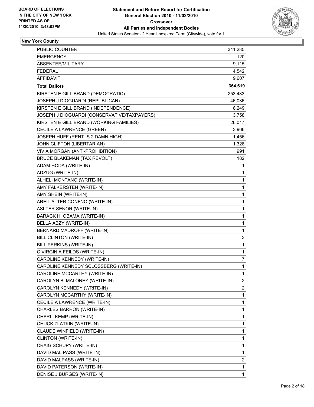

## **New York County**

| PUBLIC COUNTER                              | 341,235        |
|---------------------------------------------|----------------|
| <b>EMERGENCY</b>                            | 120            |
| ABSENTEE/MILITARY                           | 9,115          |
| <b>FEDERAL</b>                              | 4,542          |
| <b>AFFIDAVIT</b>                            | 9,607          |
| <b>Total Ballots</b>                        | 364,619        |
| KIRSTEN E GILLIBRAND (DEMOCRATIC)           | 253,483        |
| JOSEPH J DIOGUARDI (REPUBLICAN)             | 46,036         |
| KIRSTEN E GILLIBRAND (INDEPENDENCE)         | 8,249          |
| JOSEPH J DIOGUARDI (CONSERVATIVE/TAXPAYERS) | 3,758          |
| KIRSTEN E GILLIBRAND (WORKING FAMILIES)     | 26,017         |
| CECILE A LAWRENCE (GREEN)                   | 3,966          |
| JOSEPH HUFF (RENT IS 2 DAMN HIGH)           | 1,456          |
| JOHN CLIFTON (LIBERTARIAN)                  | 1,328          |
| VIVIA MORGAN (ANTI-PROHIBITION)             | 991            |
| BRUCE BLAKEMAN (TAX REVOLT)                 | 182            |
| ADAM HODA (WRITE-IN)                        | 1              |
| ADZUG (WRITE-IN)                            | 1              |
| ALHELI MONTANO (WRITE-IN)                   | 1              |
| AMY FALKERSTEN (WRITE-IN)                   | 1              |
| AMY SHEIN (WRITE-IN)                        | 1              |
| AREIL ALTER CONFNO (WRITE-IN)               | 1              |
| <b>ASLTER SENOR (WRITE-IN)</b>              | 1              |
| BARACK H. OBAMA (WRITE-IN)                  | 1              |
| BELLA ABZY (WRITE-IN)                       | 1              |
| BERNARD MADROFF (WRITE-IN)                  | 1              |
| BILL CLINTON (WRITE-IN)                     | 3              |
| BILL PERKINS (WRITE-IN)                     | 1              |
| C VIRGINIA FEILDS (WRITE-IN)                | 1              |
| CAROLINE KENNEDY (WRITE-IN)                 | 7              |
| CAROLINE KENNEDY SCLOSSBERG (WRITE-IN)      | 1              |
| CAROLINE MCCARTHY (WRITE-IN)                | 1              |
| CAROLYN B. MALONEY (WRITE-IN)               | $\overline{c}$ |
| CAROLYN KENNEDY (WRITE-IN)                  | 2              |
| CAROLYN MCCARTHY (WRITE-IN)                 | 1              |
| CECILE A LAWRENCE (WRITE-IN)                | 1              |
| CHARLES BARRON (WRITE-IN)                   | 1              |
| CHARLI KEMP (WRITE-IN)                      | 1              |
| CHUCK ZLATKIN (WRITE-IN)                    | 1              |
| CLAUDE WINFIELD (WRITE-IN)                  | 1              |
| CLINTON (WRITE-IN)                          | 1              |
| CRAIG SCHUPY (WRITE-IN)                     | 1              |
| DAVID MAL PASS (WRITE-IN)                   | 1              |
| DAVID MALPASS (WRITE-IN)                    | 2              |
| DAVID PATERSON (WRITE-IN)                   | 1              |
| DENISE J BURGES (WRITE-IN)                  | 1              |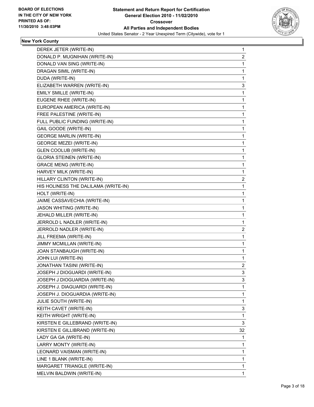

## **New York County**

| DEREK JETER (WRITE-IN)               | 1              |
|--------------------------------------|----------------|
| DONALD P. MUGNIHAN (WRITE-IN)        | 2              |
| DONALD VAN SING (WRITE-IN)           | 1              |
| DRAGAN SIMIL (WRITE-IN)              | 1              |
| DUDA (WRITE-IN)                      | 1              |
| ELIZABETH WARREN (WRITE-IN)          | 3              |
| EMILY SMILLE (WRITE-IN)              | 1              |
| EUGENE RHEE (WRITE-IN)               | 1              |
| EUROPEAN AMERICA (WRITE-IN)          | 1              |
| FREE PALESTINE (WRITE-IN)            | 1              |
| FULL PUBLIC FUNDING (WRITE-IN)       | 1              |
| GAIL GOODE (WRITE-IN)                | 1              |
| <b>GEORGE MARLIN (WRITE-IN)</b>      | 1              |
| <b>GEORGE MEZEI (WRITE-IN)</b>       | 1              |
| <b>GLEN COOLUB (WRITE-IN)</b>        | 1              |
| <b>GLORIA STEINEN (WRITE-IN)</b>     | 1              |
| <b>GRACE MENG (WRITE-IN)</b>         | 1              |
| HARVEY MILK (WRITE-IN)               | 1              |
| HILLARY CLINTON (WRITE-IN)           | 2              |
| HIS HOLINESS THE DALILAMA (WRITE-IN) | 1              |
| HOLT (WRITE-IN)                      | 1              |
| JAIME CASSAVECHIA (WRITE-IN)         | 1              |
| <b>JASON WHITING (WRITE-IN)</b>      | 1              |
| JEHALD MILLER (WRITE-IN)             | 1              |
| JERROLD L NADLER (WRITE-IN)          | 1              |
| JERROLD NADLER (WRITE-IN)            | 2              |
| JILL FREEMA (WRITE-IN)               | 1              |
| JIMMY MCMILLAN (WRITE-IN)            | 1              |
| JOAN STANBAUGH (WRITE-IN)            | 1              |
| JOHN LUI (WRITE-IN)                  | 1              |
| JONATHAN TASINI (WRITE-IN)           | $\overline{2}$ |
| JOSEPH J DIOGUARDI (WRITE-IN)        | 3              |
| JOSEPH J DIOGUARDIA (WRITE-IN)       | 3              |
| JOSEPH J. DIAGUARDI (WRITE-IN)       | 1              |
| JOSEPH J. DIOGUARDIA (WRITE-IN)      | 1              |
| <b>JULIE SOUTH (WRITE-IN)</b>        | 1              |
| KEITH CAVET (WRITE-IN)               | 3              |
| KEITH WRIGHT (WRITE-IN)              | 1              |
| KIRSTEN E GILLEBRAND (WRITE-IN)      | 3              |
| KIRSTEN E GILLIBRAND (WRITE-IN)      | 32             |
| LADY GA GA (WRITE-IN)                | 1              |
| LARRY MONTY (WRITE-IN)               | 1              |
| LEONARD VAISMAN (WRITE-IN)           | 1              |
| LINE 1 BLANK (WRITE-IN)              | 1              |
| MARGARET TRIANGLE (WRITE-IN)         | $\mathbf{1}$   |
| MELVIN BALDWIN (WRITE-IN)            | 1              |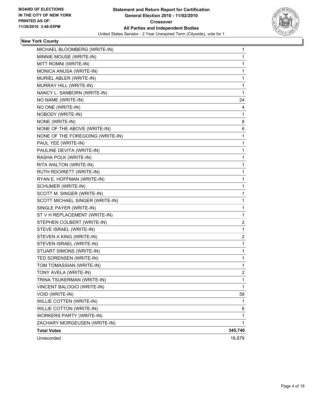

## **New York County**

| MICHAEL BLOOMBERG (WRITE-IN)     | 1              |
|----------------------------------|----------------|
| MINNIE MOUSE (WRITE-IN)          | 1              |
| MITT ROMNI (WRITE-IN)            | 1              |
| MONICA ANUSA (WRITE-IN)          | 1              |
| MURIEL ABLER (WRITE-IN)          | 1              |
| MURRAY HILL (WRITE-IN)           | 1              |
| NANCY L. SANBORN (WRITE-IN)      | 1              |
| NO NAME (WRITE-IN)               | 24             |
| NO ONE (WRITE-IN)                | 4              |
| NOBODY (WRITE-IN)                | 1              |
| NONE (WRITE-IN)                  | 8              |
| NONE OF THE ABOVE (WRITE-IN)     | 6              |
| NONE OF THE FOREGOING (WRITE-IN) | 1              |
| PAUL YEE (WRITE-IN)              | 1              |
| PAULINE DEVITA (WRITE-IN)        | 1              |
| RASHA POLK (WRITE-IN)            | 1              |
| RITA WALTON (WRITE-IN)           | 1              |
| RUTH RDOIRETT (WRITE-IN)         | 1              |
| RYAN E. HOFFMAN (WRITE-IN)       | 1              |
| SCHUMER (WRITE-IN)               | 1              |
| SCOTT M. SINGER (WRITE-IN)       | 1              |
| SCOTT MICHAEL SINGER (WRITE-IN)  | 1              |
| SINGLE PAYER (WRITE-IN)          | 1              |
| ST V H REPLACEMENT (WRITE-IN)    | 1              |
| STEPHEN COLBERT (WRITE-IN)       | 2              |
| STEVE ISRAEL (WRITE-IN)          | 1              |
| STEVEN A KING (WRITE-IN)         | 2              |
| STEVEN ISRAEL (WRITE-IN)         | 1              |
| STUART SIMONS (WRITE-IN)         | 1              |
| TED SORENSEN (WRITE-IN)          | 1              |
| TOM TOMASSIAN (WRITE-IN)         | 1              |
| TONY AVELA (WRITE-IN)            | $\overline{2}$ |
| TRINA TSUKERMAN (WRITE-IN)       | 1              |
| VINCENT BALOGIO (WRITE-IN)       | 1              |
| VOID (WRITE-IN)                  | 58             |
| WILLIE COTTEN (WRITE-IN)         | 1              |
| WILLIE COTTON (WRITE-IN)         | 6              |
| <b>WORKERS PARTY (WRITE-IN)</b>  | 1              |
| ZACHARY MORGEUSEN (WRITE-IN)     | 1              |
| <b>Total Votes</b>               | 345,740        |
| Unrecorded                       | 18,879         |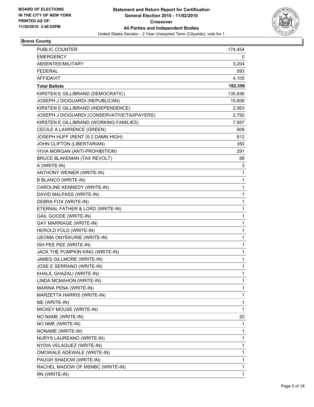

## **Bronx County**

| <b>PUBLIC COUNTER</b>                       | 174,454 |
|---------------------------------------------|---------|
| <b>EMERGENCY</b>                            | 0       |
| ABSENTEE/MILITARY                           | 3,204   |
| <b>FEDERAL</b>                              | 593     |
| <b>AFFIDAVIT</b>                            | 4,105   |
| <b>Total Ballots</b>                        | 182,356 |
| KIRSTEN E GILLIBRAND (DEMOCRATIC)           | 135,836 |
| JOSEPH J DIOGUARDI (REPUBLICAN)             | 15,609  |
| KIRSTEN E GILLIBRAND (INDEPENDENCE)         | 2,563   |
| JOSEPH J DIOGUARDI (CONSERVATIVE/TAXPAYERS) | 2,792   |
| KIRSTEN E GILLIBRAND (WORKING FAMILIES)     | 7,957   |
| CECILE A LAWRENCE (GREEN)                   | 909     |
| JOSEPH HUFF (RENT IS 2 DAMN HIGH)           | 812     |
| JOHN CLIFTON (LIBERTARIAN)                  | 350     |
| VIVIA MORGAN (ANTI-PROHIBITION)             | 291     |
| BRUCE BLAKEMAN (TAX REVOLT)                 | 88      |
| A (WRITE-IN)                                | 3       |
| ANTHONY WEINER (WRITE-IN)                   | 1       |
| <b>B BLANCO (WRITE-IN)</b>                  | 1       |
| CAROLINE KENNEDY (WRITE-IN)                 | 1       |
| DAVID MALPASS (WRITE-IN)                    | 1       |
| DEBRA FOX (WRITE-IN)                        | 1       |
| ETERNAL FATHER & LORD (WRITE-IN)            | 1       |
| GAIL GOODE (WRITE-IN)                       | 1       |
| <b>GAY MARRIAGE (WRITE-IN)</b>              | 1       |
| HEROLD FOLD (WRITE-IN)                      | 1       |
| IJEOMA ONYEKURIE (WRITE-IN)                 | 1       |
| ISH PEE PEE (WRITE-IN)                      | 1       |
| JACK THE PUMPKIN KING (WRITE-IN)            | 1       |
| JAMES GILLMORE (WRITE-IN)                   | 1       |
| JOSE E SERRANO (WRITE-IN)                   | 1       |
| KHALIL GHAZALI (WRITE-IN)                   | 1       |
| LINDA MCMAHON (WRITE-IN)                    | 1       |
| MARINA PENA (WRITE-IN)                      | 1       |
| MARZETTA HARRIS (WRITE-IN)                  | 1       |
| ME (WRITE-IN)                               | 1       |
| MICKEY MOUSE (WRITE-IN)                     | 1       |
| NO NAME (WRITE-IN)                          | 20      |
| NO NME (WRITE-IN)                           | 1       |
| NONAME (WRITE-IN)                           | 1       |
| NURYS LAUREANO (WRITE-IN)                   | 1       |
| NYDIA VELAQUEZ (WRITE-IN)                   | 1       |
| OMOWALE ADEWALE (WRITE-IN)                  | 1       |
| PAUGH SHADOW (WRITE-IN)                     | 1       |
| RACHEL MADOW OF MSNBC (WRITE-IN)            | 1       |
| RN (WRITE-IN)                               | 1       |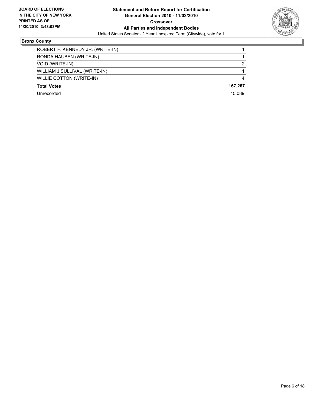

## **Bronx County**

| ROBERT F. KENNEDY JR. (WRITE-IN) |         |
|----------------------------------|---------|
| RONDA HAUBEN (WRITE-IN)          |         |
| VOID (WRITE-IN)                  | 2       |
| WILLIAM J SULLIVAL (WRITE-IN)    |         |
| WILLIE COTTON (WRITE-IN)         | 4       |
| <b>Total Votes</b>               | 167.267 |
| Unrecorded                       | 15.089  |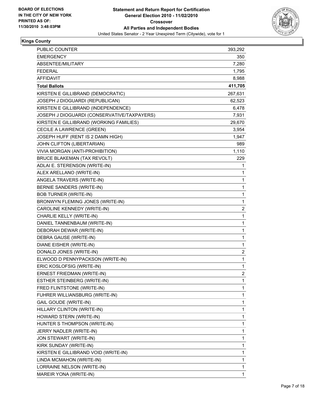

## **Kings County**

| <b>PUBLIC COUNTER</b>                       | 393,292 |
|---------------------------------------------|---------|
| <b>EMERGENCY</b>                            | 350     |
| ABSENTEE/MILITARY                           | 7,280   |
| <b>FEDERAL</b>                              | 1,795   |
| AFFIDAVIT                                   | 8,988   |
| <b>Total Ballots</b>                        | 411,705 |
| KIRSTEN E GILLIBRAND (DEMOCRATIC)           | 267,631 |
| JOSEPH J DIOGUARDI (REPUBLICAN)             | 62,523  |
| KIRSTEN E GILLIBRAND (INDEPENDENCE)         | 6,478   |
| JOSEPH J DIOGUARDI (CONSERVATIVE/TAXPAYERS) | 7,931   |
| KIRSTEN E GILLIBRAND (WORKING FAMILIES)     | 29,670  |
| CECILE A LAWRENCE (GREEN)                   | 3,954   |
| JOSEPH HUFF (RENT IS 2 DAMN HIGH)           | 1,947   |
| JOHN CLIFTON (LIBERTARIAN)                  | 989     |
| VIVIA MORGAN (ANTI-PROHIBITION)             | 1,110   |
| <b>BRUCE BLAKEMAN (TAX REVOLT)</b>          | 229     |
| ADLAI E. STERENSON (WRITE-IN)               | 1       |
| ALEX ARELLANO (WRITE-IN)                    | 1       |
| ANGELA TRAVERS (WRITE-IN)                   | 1       |
| BERNIE SANDERS (WRITE-IN)                   | 1       |
| <b>BOB TURNER (WRITE-IN)</b>                | 1       |
| BRONWYN FLEMING JONES (WRITE-IN)            | 1       |
| CAROLINE KENNEDY (WRITE-IN)                 | 2       |
| CHARLIE KELLY (WRITE-IN)                    | 1       |
| DANIEL TANNENBAUM (WRITE-IN)                | 1       |
| DEBORAH DEWAR (WRITE-IN)                    | 1       |
| DEBRA GAUSE (WRITE-IN)                      | 1       |
| DIANE EISHER (WRITE-IN)                     | 1       |
| DONALD JONES (WRITE-IN)                     | 2       |
| ELWOOD D PENNYPACKSON (WRITE-IN)            | 1       |
| ERIC KOSLOFSIG (WRITE-IN)                   | 1       |
| ERNEST FRIEDMAN (WRITE-IN)                  | 2       |
| ESTHER STEINBERG (WRITE-IN)                 | 1       |
| FRED FLINTSTONE (WRITE-IN)                  | 1       |
| FUHRER WILLIANSBURG (WRITE-IN)              | 1       |
| <b>GAIL GOUDE (WRITE-IN)</b>                | 1       |
| HILLARY CLINTON (WRITE-IN)                  | 1       |
| HOWARD STERN (WRITE-IN)                     | 1       |
| HUNTER S THOMPSON (WRITE-IN)                | 1       |
| JERRY NADLER (WRITE-IN)                     | 1       |
| JON STEWART (WRITE-IN)                      | 1       |
| KIRK SUNDAY (WRITE-IN)                      | 1       |
| KIRSTEN E GILLIBRAND VOID (WRITE-IN)        | 1       |
| LINDA MCMAHON (WRITE-IN)                    | 1       |
| LORRAINE NELSON (WRITE-IN)                  | 1       |
| MAREIR YONA (WRITE-IN)                      | 1       |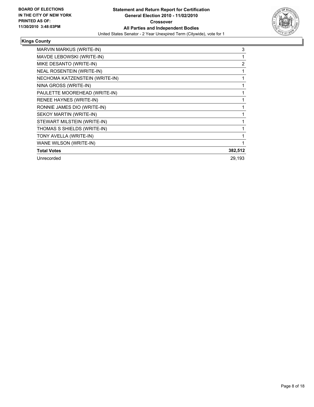

### **Kings County**

| <b>MARVIN MARKUS (WRITE-IN)</b> | 3              |
|---------------------------------|----------------|
| MAVDE LEBOWSKI (WRITE-IN)       | 1              |
| MIKE DESANTO (WRITE-IN)         | $\overline{2}$ |
| NEAL ROSENTEIN (WRITE-IN)       | 1              |
| NECHOMA KATZENSTEIN (WRITE-IN)  |                |
| NINA GROSS (WRITE-IN)           |                |
| PAULETTE MOOREHEAD (WRITE-IN)   | 1              |
| RENEE HAYNES (WRITE-IN)         |                |
| RONNIE JAMES DIO (WRITE-IN)     |                |
| SEKOY MARTIN (WRITE-IN)         |                |
| STEWART MILSTEIN (WRITE-IN)     |                |
| THOMAS S SHIELDS (WRITE-IN)     |                |
| TONY AVELLA (WRITE-IN)          |                |
| WANE WILSON (WRITE-IN)          |                |
| <b>Total Votes</b>              | 382,512        |
| Unrecorded                      | 29,193         |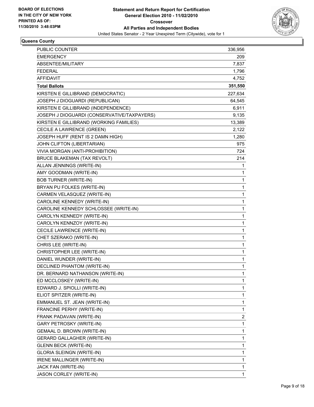

#### **Queens County**

| PUBLIC COUNTER                              | 336,956 |
|---------------------------------------------|---------|
| <b>EMERGENCY</b>                            | 209     |
| ABSENTEE/MILITARY                           | 7,837   |
| <b>FEDERAL</b>                              | 1,796   |
| <b>AFFIDAVIT</b>                            | 4,752   |
| <b>Total Ballots</b>                        | 351,550 |
| KIRSTEN E GILLIBRAND (DEMOCRATIC)           | 227,634 |
| JOSEPH J DIOGUARDI (REPUBLICAN)             | 64,545  |
| KIRSTEN E GILLIBRAND (INDEPENDENCE)         | 6,911   |
| JOSEPH J DIOGUARDI (CONSERVATIVE/TAXPAYERS) | 9,135   |
| KIRSTEN E GILLIBRAND (WORKING FAMILIES)     | 13,389  |
| CECILE A LAWRENCE (GREEN)                   | 2,122   |
| JOSEPH HUFF (RENT IS 2 DAMN HIGH)           | 1,280   |
| JOHN CLIFTON (LIBERTARIAN)                  | 975     |
| VIVIA MORGAN (ANTI-PROHIBITION)             | 724     |
| BRUCE BLAKEMAN (TAX REVOLT)                 | 214     |
| ALLAN JENNINGS (WRITE-IN)                   | 1       |
| AMY GOODMAN (WRITE-IN)                      | 1       |
| <b>BOB TURNER (WRITE-IN)</b>                | 1       |
| BRYAN PU FOLKES (WRITE-IN)                  | 1       |
| CARMEN VELASQUEZ (WRITE-IN)                 | 1       |
| CAROLINE KENNEDY (WRITE-IN)                 | 1       |
| CAROLINE KENNEDY SCHLOSSEE (WRITE-IN)       | 1       |
| CAROLYN KENNEDY (WRITE-IN)                  | 1       |
| CAROLYN KENNZOY (WRITE-IN)                  | 1       |
| CECILE LAWRENCE (WRITE-IN)                  | 1       |
| CHET SZERAKO (WRITE-IN)                     | 1       |
| CHRIS LEE (WRITE-IN)                        | 1       |
| CHRISTOPHER LEE (WRITE-IN)                  | 1       |
| DANIEL WUNDER (WRITE-IN)                    | 1       |
| <b>DECLINED PHANTOM (WRITE-IN)</b>          | 1       |
| DR. BERNARD NATHANSON (WRITE-IN)            | 1       |
| ED MCCLOSKEY (WRITE-IN)                     | 1       |
| EDWARD J. SPIOLLI (WRITE-IN)                | 1       |
| ELIOT SPITZER (WRITE-IN)                    | 1       |
| EMMANUEL ST. JEAN (WRITE-IN)                | 1       |
| FRANCINE PERHY (WRITE-IN)                   | 1       |
| FRANK PADAVAN (WRITE-IN)                    | 2       |
| GARY PETROSKY (WRITE-IN)                    | 1       |
| GEMAAL D. BROWN (WRITE-IN)                  | 1       |
| <b>GERARD GALLAGHER (WRITE-IN)</b>          | 1       |
| <b>GLENN BECK (WRITE-IN)</b>                | 1       |
| <b>GLORIA SLEINGN (WRITE-IN)</b>            | 1       |
| IRENE MALLINGER (WRITE-IN)                  | 1       |
| JACK FAN (WRITE-IN)                         | 1       |
| JASON CORLEY (WRITE-IN)                     | 1       |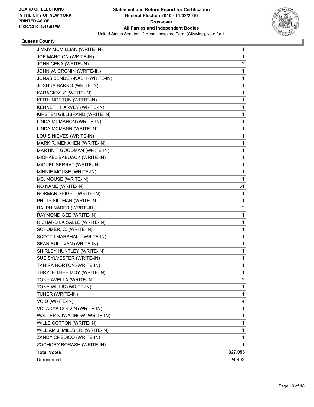

#### **Queens County**

| JIMMY MCMILLIAN (WRITE-IN)      | 1       |
|---------------------------------|---------|
| JOE MARCION (WRITE-IN)          | 1       |
| JOHN CENA (WRITE-IN)            | 2       |
| JOHN W. CRONIN (WRITE-IN)       | 1       |
| JONAS BENDER-NASH (WRITE-IN)    | 1       |
| JOSHUA BARRO (WRITE-IN)         | 1       |
| KARAGIOZLS (WRITE-IN)           | 1       |
| KEITH NORTON (WRITE-IN)         | 1       |
| KENNETH HARVEY (WRITE-IN)       | 1       |
| KIRSTEN GILLIBRAND (WRITE-IN)   | 1       |
| LINDA MCMAHON (WRITE-IN)        | 1       |
| LINDA MCMANN (WRITE-IN)         | 1       |
| LOUIS NIEVES (WRITE-IN)         | 1       |
| MARK R. MENAHEN (WRITE-IN)      | 1       |
| MARTIN T GOODMAN (WRITE-IN)     | 1       |
| MICHAEL BABUACK (WRITE-IN)      | 1       |
| MIGUEL SERRAT (WRITE-IN)        | 1       |
| MINNIE MOUSE (WRITE-IN)         | 1       |
| MS. MOUSE (WRITE-IN)            | 1       |
| NO NAME (WRITE-IN)              | 51      |
| NORMAN SEIGEL (WRITE-IN)        | 1       |
| PHILIP SILLMAN (WRITE-IN)       | 1       |
| RALPH NADER (WRITE-IN)          | 2       |
| RAYMOND GEE (WRITE-IN)          | 1       |
| RICHARD LA SALLE (WRITE-IN)     | 1       |
| SCHUMER, C. (WRITE-IN)          | 1       |
| SCOTT I MARSHALL (WRITE-IN)     | 1       |
| SEAN SULLIVAN (WRITE-IN)        | 1       |
| SHIRLEY HUNTLEY (WRITE-IN)      | 1       |
| SUE SYLVESTER (WRITE-IN)        | 1       |
| TAHIRA NORTON (WRITE-IN)        | 1       |
| THRYLE THEE MOY (WRITE-IN)      | 1       |
| TONY AVELLA (WRITE-IN)          | 2       |
| TONY WILLIS (WRITE-IN)          | 1       |
| TUNER (WRITE-IN)                | 1       |
| VOID (WRITE-IN)                 | 4       |
| VOLADYA COLVIN (WRITE-IN)       | 1       |
| WALTER N IWACHOW (WRITE-IN)     | 1       |
| WILLE COTTON (WRITE-IN)         | 1       |
| WILLIAM J. MILLS JR. (WRITE-IN) | 1       |
| ZANDY CREDICO (WRITE-IN)        | 1       |
| ZOCHORY BORASH (WRITE-IN)       | 1       |
| <b>Total Votes</b>              | 327,058 |
| Unrecorded                      | 24,492  |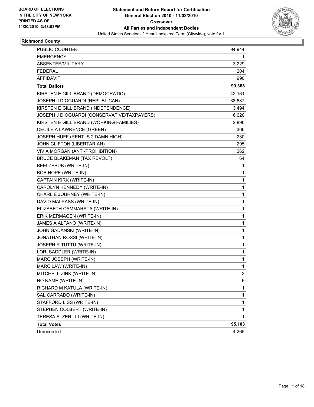

## **Richmond County**

| PUBLIC COUNTER                              | 94,944         |
|---------------------------------------------|----------------|
| <b>EMERGENCY</b>                            | 1              |
| ABSENTEE/MILITARY                           | 3,229          |
| <b>FEDERAL</b>                              | 204            |
| <b>AFFIDAVIT</b>                            | 990            |
| <b>Total Ballots</b>                        | 99,368         |
| KIRSTEN E GILLIBRAND (DEMOCRATIC)           | 42,161         |
| JOSEPH J DIOGUARDI (REPUBLICAN)             | 38,687         |
| KIRSTEN E GILLIBRAND (INDEPENDENCE)         | 3,494          |
| JOSEPH J DIOGUARDI (CONSERVATIVE/TAXPAYERS) | 6,620          |
| KIRSTEN E GILLIBRAND (WORKING FAMILIES)     | 2,896          |
| CECILE A LAWRENCE (GREEN)                   | 366            |
| JOSEPH HUFF (RENT IS 2 DAMN HIGH)           | 230            |
| JOHN CLIFTON (LIBERTARIAN)                  | 295            |
| VIVIA MORGAN (ANTI-PROHIBITION)             | 262            |
| <b>BRUCE BLAKEMAN (TAX REVOLT)</b>          | 64             |
| BEELZEBUB (WRITE-IN)                        | 1              |
| <b>BOB HOPE (WRITE-IN)</b>                  | 1              |
| CAPTAIN KIRK (WRITE-IN)                     | 1              |
| CAROLYN KENNEDY (WRITE-IN)                  | 1              |
| CHARLIE JOURNEY (WRITE-IN)                  | 1              |
| DAVID MALPASS (WRITE-IN)                    | 1              |
| ELIZABETH CAMMARATA (WRITE-IN)              | 1              |
| ERIK MERMAGEN (WRITE-IN)                    | 1              |
| JAMES A ALFANO (WRITE-IN)                   | 1              |
| JOHN GADANSKI (WRITE-IN)                    | 1              |
| JONATHAN ROSSI (WRITE-IN)                   | 1              |
| JOSEPH R TUTTU (WRITE-IN)                   | 1              |
| LORI SADDLER (WRITE-IN)                     | 1              |
| MARC JOSEPH (WRITE-IN)                      | 1              |
| MARC LAW (WRITE-IN)                         | 1              |
| MITCHELL ZINK (WRITE-IN)                    | $\overline{2}$ |
| NO NAME (WRITE-IN)                          | 6              |
| RICHARD M KATULA (WRITE-IN)                 | 1              |
| SAL CARRADO (WRITE-IN)                      | 1              |
| STAFFORD LISS (WRITE-IN)                    | 1              |
| STEPHEN COLBERT (WRITE-IN)                  | 1              |
| TERESA A. ZERILLI (WRITE-IN)                | 1              |
| <b>Total Votes</b>                          | 95,103         |
| Unrecorded                                  | 4,265          |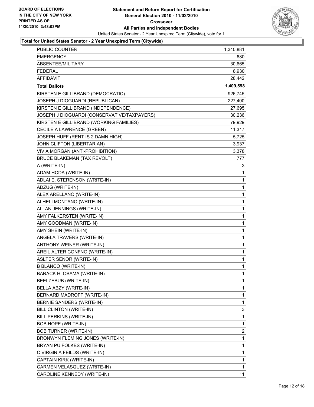

| PUBLIC COUNTER                              | 1,340,881   |
|---------------------------------------------|-------------|
| <b>EMERGENCY</b>                            | 680         |
| ABSENTEE/MILITARY                           | 30,665      |
| <b>FEDERAL</b>                              | 8,930       |
| AFFIDAVIT                                   | 28,442      |
| <b>Total Ballots</b>                        | 1,409,598   |
| KIRSTEN E GILLIBRAND (DEMOCRATIC)           | 926,745     |
| JOSEPH J DIOGUARDI (REPUBLICAN)             | 227,400     |
| KIRSTEN E GILLIBRAND (INDEPENDENCE)         | 27,695      |
| JOSEPH J DIOGUARDI (CONSERVATIVE/TAXPAYERS) | 30,236      |
| KIRSTEN E GILLIBRAND (WORKING FAMILIES)     | 79,929      |
| CECILE A LAWRENCE (GREEN)                   | 11,317      |
| JOSEPH HUFF (RENT IS 2 DAMN HIGH)           | 5,725       |
| JOHN CLIFTON (LIBERTARIAN)                  | 3,937       |
| VIVIA MORGAN (ANTI-PROHIBITION)             | 3,378       |
| BRUCE BLAKEMAN (TAX REVOLT)                 | 777         |
| A (WRITE-IN)                                | 3           |
| ADAM HODA (WRITE-IN)                        | 1           |
| ADLAI E. STERENSON (WRITE-IN)               | 1           |
| ADZUG (WRITE-IN)                            | 1           |
| ALEX ARELLANO (WRITE-IN)                    | 1           |
| ALHELI MONTANO (WRITE-IN)                   | 1           |
| ALLAN JENNINGS (WRITE-IN)                   | 1           |
| AMY FALKERSTEN (WRITE-IN)                   | 1           |
| AMY GOODMAN (WRITE-IN)                      | 1           |
| AMY SHEIN (WRITE-IN)                        | 1           |
| ANGELA TRAVERS (WRITE-IN)                   | 1           |
| ANTHONY WEINER (WRITE-IN)                   | 1           |
| AREIL ALTER CONFNO (WRITE-IN)               | 1           |
| <b>ASLTER SENOR (WRITE-IN)</b>              | 1           |
| <b>B BLANCO (WRITE-IN)</b>                  | 1           |
| BARACK H. OBAMA (WRITE-IN)                  | $\mathbf 1$ |
| BEELZEBUB (WRITE-IN)                        | 1           |
| BELLA ABZY (WRITE-IN)                       | 1           |
| BERNARD MADROFF (WRITE-IN)                  | 1           |
| BERNIE SANDERS (WRITE-IN)                   | 1           |
| BILL CLINTON (WRITE-IN)                     | 3           |
| BILL PERKINS (WRITE-IN)                     | 1           |
| BOB HOPE (WRITE-IN)                         | 1           |
| <b>BOB TURNER (WRITE-IN)</b>                | 2           |
| BRONWYN FLEMING JONES (WRITE-IN)            | 1           |
| BRYAN PU FOLKES (WRITE-IN)                  | 1           |
| C VIRGINIA FEILDS (WRITE-IN)                | 1           |
| CAPTAIN KIRK (WRITE-IN)                     | 1           |
| CARMEN VELASQUEZ (WRITE-IN)                 | 1           |
| CAROLINE KENNEDY (WRITE-IN)                 | 11          |
|                                             |             |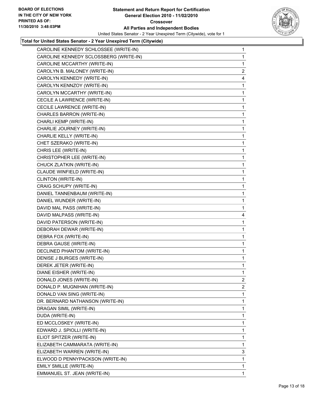

| CAROLINE KENNEDY SCHLOSSEE (WRITE-IN)  | 1              |
|----------------------------------------|----------------|
| CAROLINE KENNEDY SCLOSSBERG (WRITE-IN) | 1              |
| CAROLINE MCCARTHY (WRITE-IN)           | 1              |
| CAROLYN B. MALONEY (WRITE-IN)          | $\overline{2}$ |
| CAROLYN KENNEDY (WRITE-IN)             | 4              |
| CAROLYN KENNZOY (WRITE-IN)             | 1              |
| CAROLYN MCCARTHY (WRITE-IN)            | 1              |
| CECILE A LAWRENCE (WRITE-IN)           | 1              |
| CECILE LAWRENCE (WRITE-IN)             | 1              |
| CHARLES BARRON (WRITE-IN)              | 1              |
| CHARLI KEMP (WRITE-IN)                 | 1              |
| CHARLIE JOURNEY (WRITE-IN)             | 1              |
| CHARLIE KELLY (WRITE-IN)               | 1              |
| CHET SZERAKO (WRITE-IN)                | 1              |
| CHRIS LEE (WRITE-IN)                   | 1              |
| CHRISTOPHER LEE (WRITE-IN)             | 1              |
| CHUCK ZLATKIN (WRITE-IN)               | 1              |
| CLAUDE WINFIELD (WRITE-IN)             | 1              |
| CLINTON (WRITE-IN)                     | 1              |
| CRAIG SCHUPY (WRITE-IN)                | 1              |
| DANIEL TANNENBAUM (WRITE-IN)           | 1              |
| DANIEL WUNDER (WRITE-IN)               | 1              |
| DAVID MAL PASS (WRITE-IN)              | 1              |
| DAVID MALPASS (WRITE-IN)               | 4              |
|                                        |                |
| DAVID PATERSON (WRITE-IN)              | 1              |
| DEBORAH DEWAR (WRITE-IN)               | 1              |
| DEBRA FOX (WRITE-IN)                   | 1              |
| DEBRA GAUSE (WRITE-IN)                 | 1              |
| DECLINED PHANTOM (WRITE-IN)            | 1              |
| DENISE J BURGES (WRITE-IN)             | 1              |
| DEREK JETER (WRITE-IN)                 | 1              |
| DIANE EISHER (WRITE-IN)                | 1              |
| DONALD JONES (WRITE-IN)                | 2              |
| DONALD P. MUGNIHAN (WRITE-IN)          | 2              |
| DONALD VAN SING (WRITE-IN)             | 1              |
| DR. BERNARD NATHANSON (WRITE-IN)       | 1              |
| DRAGAN SIMIL (WRITE-IN)                | 1              |
| DUDA (WRITE-IN)                        | 1              |
| ED MCCLOSKEY (WRITE-IN)                | 1              |
| EDWARD J. SPIOLLI (WRITE-IN)           | 1              |
| ELIOT SPITZER (WRITE-IN)               | 1              |
| ELIZABETH CAMMARATA (WRITE-IN)         | 1              |
| ELIZABETH WARREN (WRITE-IN)            | 3              |
| ELWOOD D PENNYPACKSON (WRITE-IN)       | 1              |
| EMILY SMILLE (WRITE-IN)                | 1              |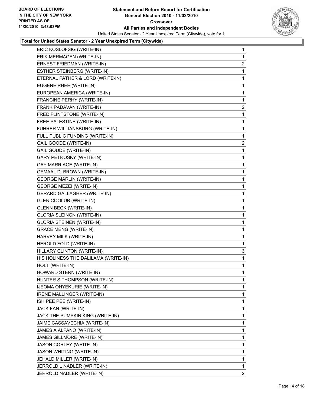

| ERIC KOSLOFSIG (WRITE-IN)            | $\mathbf{1}$            |
|--------------------------------------|-------------------------|
| ERIK MERMAGEN (WRITE-IN)             | 1                       |
| ERNEST FRIEDMAN (WRITE-IN)           | $\overline{\mathbf{c}}$ |
| ESTHER STEINBERG (WRITE-IN)          | 1                       |
| ETERNAL FATHER & LORD (WRITE-IN)     | 1                       |
| EUGENE RHEE (WRITE-IN)               | 1                       |
| EUROPEAN AMERICA (WRITE-IN)          | 1                       |
| FRANCINE PERHY (WRITE-IN)            | 1                       |
| FRANK PADAVAN (WRITE-IN)             | $\overline{2}$          |
| FRED FLINTSTONE (WRITE-IN)           | 1                       |
| FREE PALESTINE (WRITE-IN)            | 1                       |
| FUHRER WILLIANSBURG (WRITE-IN)       | 1                       |
| FULL PUBLIC FUNDING (WRITE-IN)       | 1                       |
| GAIL GOODE (WRITE-IN)                | $\mathbf{2}$            |
| GAIL GOUDE (WRITE-IN)                | 1                       |
| <b>GARY PETROSKY (WRITE-IN)</b>      | 1                       |
| <b>GAY MARRIAGE (WRITE-IN)</b>       | 1                       |
| GEMAAL D. BROWN (WRITE-IN)           | 1                       |
| <b>GEORGE MARLIN (WRITE-IN)</b>      | 1                       |
| <b>GEORGE MEZEI (WRITE-IN)</b>       | 1                       |
| <b>GERARD GALLAGHER (WRITE-IN)</b>   | 1                       |
| <b>GLEN COOLUB (WRITE-IN)</b>        | 1                       |
| <b>GLENN BECK (WRITE-IN)</b>         | 1                       |
| <b>GLORIA SLEINGN (WRITE-IN)</b>     | 1                       |
| <b>GLORIA STEINEN (WRITE-IN)</b>     | 1                       |
| <b>GRACE MENG (WRITE-IN)</b>         | 1                       |
| HARVEY MILK (WRITE-IN)               | 1                       |
| HEROLD FOLD (WRITE-IN)               | 1                       |
| HILLARY CLINTON (WRITE-IN)           | 3                       |
| HIS HOLINESS THE DALILAMA (WRITE-IN) | 1                       |
| HOLT (WRITE-IN)                      | 1                       |
| HOWARD STERN (WRITE-IN)              | 1                       |
| HUNTER S THOMPSON (WRITE-IN)         | 1                       |
| IJEOMA ONYEKURIE (WRITE-IN)          | $\mathbf{1}$            |
| IRENE MALLINGER (WRITE-IN)           | 1                       |
| ISH PEE PEE (WRITE-IN)               | 1                       |
| JACK FAN (WRITE-IN)                  | 1                       |
| JACK THE PUMPKIN KING (WRITE-IN)     | 1                       |
| JAIME CASSAVECHIA (WRITE-IN)         | 1                       |
| JAMES A ALFANO (WRITE-IN)            | 1                       |
| JAMES GILLMORE (WRITE-IN)            | 1                       |
| JASON CORLEY (WRITE-IN)              | 1                       |
| <b>JASON WHITING (WRITE-IN)</b>      | 1                       |
| JEHALD MILLER (WRITE-IN)             | $\mathbf{1}$            |
| JERROLD L NADLER (WRITE-IN)          | 1                       |
| JERROLD NADLER (WRITE-IN)            | $\overline{2}$          |
|                                      |                         |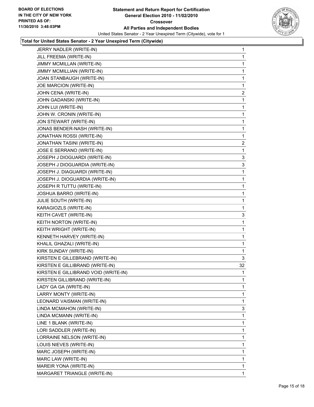

| JERRY NADLER (WRITE-IN)              | 1              |
|--------------------------------------|----------------|
| JILL FREEMA (WRITE-IN)               | 1              |
| JIMMY MCMILLAN (WRITE-IN)            | 1              |
| JIMMY MCMILLIAN (WRITE-IN)           | 1              |
| JOAN STANBAUGH (WRITE-IN)            | 1              |
| JOE MARCION (WRITE-IN)               | 1              |
| JOHN CENA (WRITE-IN)                 | 2              |
| JOHN GADANSKI (WRITE-IN)             | 1              |
| JOHN LUI (WRITE-IN)                  | 1              |
| JOHN W. CRONIN (WRITE-IN)            | 1              |
| JON STEWART (WRITE-IN)               | 1              |
| JONAS BENDER-NASH (WRITE-IN)         | 1              |
| JONATHAN ROSSI (WRITE-IN)            | 1              |
| JONATHAN TASINI (WRITE-IN)           | $\overline{c}$ |
| JOSE E SERRANO (WRITE-IN)            | 1              |
| JOSEPH J DIOGUARDI (WRITE-IN)        | 3              |
| JOSEPH J DIOGUARDIA (WRITE-IN)       | 3              |
| JOSEPH J. DIAGUARDI (WRITE-IN)       | 1              |
| JOSEPH J. DIOGUARDIA (WRITE-IN)      | 1              |
| JOSEPH R TUTTU (WRITE-IN)            | 1              |
| JOSHUA BARRO (WRITE-IN)              | 1              |
| JULIE SOUTH (WRITE-IN)               | 1              |
| KARAGIOZLS (WRITE-IN)                | 1              |
| KEITH CAVET (WRITE-IN)               | 3              |
| KEITH NORTON (WRITE-IN)              | 1              |
| KEITH WRIGHT (WRITE-IN)              | 1              |
| KENNETH HARVEY (WRITE-IN)            | 1              |
| KHALIL GHAZALI (WRITE-IN)            | 1              |
| KIRK SUNDAY (WRITE-IN)               | 1              |
| KIRSTEN E GILLEBRAND (WRITE-IN)      | 3              |
| KIRSTEN E GILLIBRAND (WRITE-IN)      | 32             |
| KIRSTEN E GILLIBRAND VOID (WRITE-IN) | 1              |
| KIRSTEN GILLIBRAND (WRITE-IN)        | 1              |
| LADY GA GA (WRITE-IN)                | 1.             |
| LARRY MONTY (WRITE-IN)               | 1              |
| LEONARD VAISMAN (WRITE-IN)           | 1              |
| LINDA MCMAHON (WRITE-IN)             | 3              |
| LINDA MCMANN (WRITE-IN)              | 1              |
| LINE 1 BLANK (WRITE-IN)              | 1              |
| LORI SADDLER (WRITE-IN)              | 1              |
| LORRAINE NELSON (WRITE-IN)           | 1              |
| LOUIS NIEVES (WRITE-IN)              | 1              |
| MARC JOSEPH (WRITE-IN)               | 1              |
| MARC LAW (WRITE-IN)                  | 1              |
| MAREIR YONA (WRITE-IN)               | 1              |
| MARGARET TRIANGLE (WRITE-IN)         | 1              |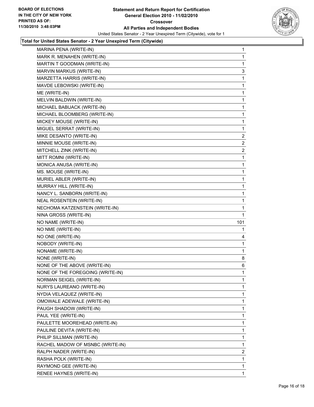

| MARK R. MENAHEN (WRITE-IN)       | 1              |
|----------------------------------|----------------|
|                                  | 1              |
| MARTIN T GOODMAN (WRITE-IN)      | 1              |
| MARVIN MARKUS (WRITE-IN)         | 3              |
| MARZETTA HARRIS (WRITE-IN)       | 1              |
| MAVDE LEBOWSKI (WRITE-IN)        | 1              |
| ME (WRITE-IN)                    | 1              |
| MELVIN BALDWIN (WRITE-IN)        | 1              |
| MICHAEL BABUACK (WRITE-IN)       | 1              |
| MICHAEL BLOOMBERG (WRITE-IN)     | 1              |
| MICKEY MOUSE (WRITE-IN)          | 1              |
| MIGUEL SERRAT (WRITE-IN)         | 1              |
| MIKE DESANTO (WRITE-IN)          | $\mathbf{2}$   |
| MINNIE MOUSE (WRITE-IN)          | $\overline{2}$ |
| MITCHELL ZINK (WRITE-IN)         | $\mathbf{2}$   |
| MITT ROMNI (WRITE-IN)            | 1              |
| MONICA ANUSA (WRITE-IN)          | 1              |
| MS. MOUSE (WRITE-IN)             | 1              |
| MURIEL ABLER (WRITE-IN)          | 1              |
| MURRAY HILL (WRITE-IN)           | 1              |
| NANCY L. SANBORN (WRITE-IN)      | 1              |
| NEAL ROSENTEIN (WRITE-IN)        | 1              |
| NECHOMA KATZENSTEIN (WRITE-IN)   | 1              |
| NINA GROSS (WRITE-IN)            | 1              |
| NO NAME (WRITE-IN)               | 101            |
| NO NME (WRITE-IN)                | 1              |
| NO ONE (WRITE-IN)                | 4              |
| NOBODY (WRITE-IN)                | 1              |
|                                  |                |
| NONAME (WRITE-IN)                | 1              |
| NONE (WRITE-IN)                  | 8              |
| NONE OF THE ABOVE (WRITE-IN)     | 6              |
| NONE OF THE FOREGOING (WRITE-IN) | 1              |
| NORMAN SEIGEL (WRITE-IN)         | 1              |
| NURYS LAUREANO (WRITE-IN)        | 1              |
| NYDIA VELAQUEZ (WRITE-IN)        | 1              |
| OMOWALE ADEWALE (WRITE-IN)       | 1              |
| PAUGH SHADOW (WRITE-IN)          | 1              |
| PAUL YEE (WRITE-IN)              | 1              |
| PAULETTE MOOREHEAD (WRITE-IN)    | 1              |
| PAULINE DEVITA (WRITE-IN)        | 1              |
| PHILIP SILLMAN (WRITE-IN)        | 1              |
| RACHEL MADOW OF MSNBC (WRITE-IN) | 1              |
| RALPH NADER (WRITE-IN)           | 2              |
| RASHA POLK (WRITE-IN)            | 1              |
| RAYMOND GEE (WRITE-IN)           | 1              |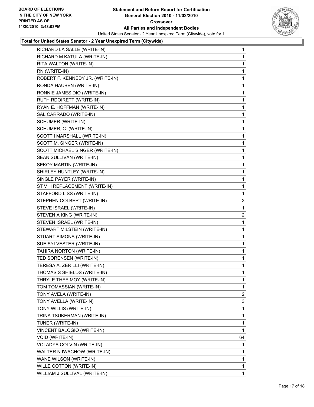

| RICHARD LA SALLE (WRITE-IN)      | $\mathbf{1}$ |
|----------------------------------|--------------|
| RICHARD M KATULA (WRITE-IN)      | 1            |
| RITA WALTON (WRITE-IN)           | 1            |
| RN (WRITE-IN)                    | 1            |
| ROBERT F. KENNEDY JR. (WRITE-IN) | 1            |
| RONDA HAUBEN (WRITE-IN)          | 1            |
| RONNIE JAMES DIO (WRITE-IN)      | 1            |
| RUTH RDOIRETT (WRITE-IN)         | 1            |
| RYAN E. HOFFMAN (WRITE-IN)       | 1            |
| SAL CARRADO (WRITE-IN)           | 1            |
| SCHUMER (WRITE-IN)               | 1            |
| SCHUMER, C. (WRITE-IN)           | 1            |
| SCOTT I MARSHALL (WRITE-IN)      | 1            |
| SCOTT M. SINGER (WRITE-IN)       | 1            |
| SCOTT MICHAEL SINGER (WRITE-IN)  | 1            |
| SEAN SULLIVAN (WRITE-IN)         | 1            |
| SEKOY MARTIN (WRITE-IN)          | 1            |
| SHIRLEY HUNTLEY (WRITE-IN)       | 1            |
| SINGLE PAYER (WRITE-IN)          | 1            |
| ST V H REPLACEMENT (WRITE-IN)    | 1            |
| STAFFORD LISS (WRITE-IN)         | 1            |
| STEPHEN COLBERT (WRITE-IN)       | 3            |
| STEVE ISRAEL (WRITE-IN)          | 1            |
| STEVEN A KING (WRITE-IN)         | 2            |
| STEVEN ISRAEL (WRITE-IN)         | 1            |
| STEWART MILSTEIN (WRITE-IN)      | 1            |
| STUART SIMONS (WRITE-IN)         | 1            |
| SUE SYLVESTER (WRITE-IN)         | 1            |
| TAHIRA NORTON (WRITE-IN)         | 1            |
| TED SORENSEN (WRITE-IN)          | 1            |
| TERESA A. ZERILLI (WRITE-IN)     | 1            |
| THOMAS S SHIELDS (WRITE-IN)      | 1            |
| THRYLE THEE MOY (WRITE-IN)       | 1            |
| TOM TOMASSIAN (WRITE-IN)         | 1            |
| TONY AVELA (WRITE-IN)            | $\mathbf{2}$ |
| TONY AVELLA (WRITE-IN)           | 3            |
| TONY WILLIS (WRITE-IN)           | 1            |
| TRINA TSUKERMAN (WRITE-IN)       | 1            |
| TUNER (WRITE-IN)                 | 1            |
| VINCENT BALOGIO (WRITE-IN)       | 1            |
| VOID (WRITE-IN)                  | 64           |
| VOLADYA COLVIN (WRITE-IN)        | 1            |
| WALTER N IWACHOW (WRITE-IN)      | 1            |
| WANE WILSON (WRITE-IN)           | $\mathbf{1}$ |
| WILLE COTTON (WRITE-IN)          | 1            |
| WILLIAM J SULLIVAL (WRITE-IN)    | $\mathbf{1}$ |